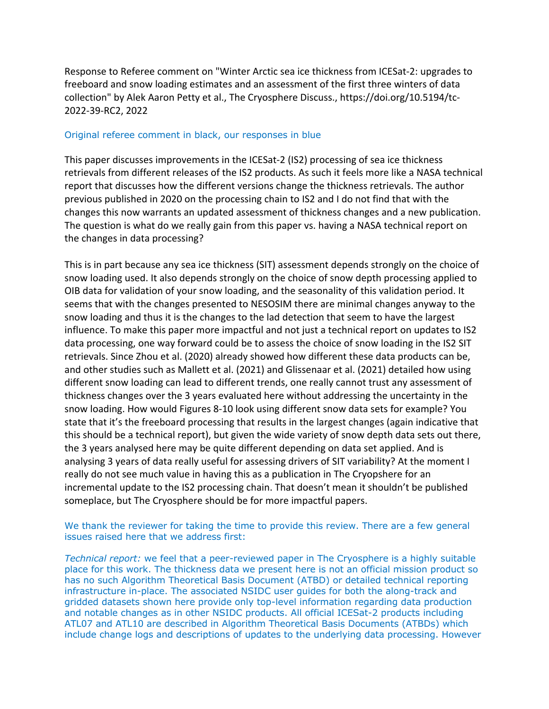Response to Referee comment on "Winter Arctic sea ice thickness from ICESat-2: upgrades to freeboard and snow loading estimates and an assessment of the first three winters of data collection" by Alek Aaron Petty et al., The Cryosphere Discuss., https://doi.org/10.5194/tc-2022-39-RC2, 2022

## Original referee comment in black, our responses in blue

This paper discusses improvements in the ICESat-2 (IS2) processing of sea ice thickness retrievals from different releases of the IS2 products. As such it feels more like a NASA technical report that discusses how the different versions change the thickness retrievals. The author previous published in 2020 on the processing chain to IS2 and I do not find that with the changes this now warrants an updated assessment of thickness changes and a new publication. The question is what do we really gain from this paper vs. having a NASA technical report on the changes in data processing?

This is in part because any sea ice thickness (SIT) assessment depends strongly on the choice of snow loading used. It also depends strongly on the choice of snow depth processing applied to OIB data for validation of your snow loading, and the seasonality of this validation period. It seems that with the changes presented to NESOSIM there are minimal changes anyway to the snow loading and thus it is the changes to the lad detection that seem to have the largest influence. To make this paper more impactful and not just a technical report on updates to IS2 data processing, one way forward could be to assess the choice of snow loading in the IS2 SIT retrievals. Since Zhou et al. (2020) already showed how different these data products can be, and other studies such as Mallett et al. (2021) and Glissenaar et al. (2021) detailed how using different snow loading can lead to different trends, one really cannot trust any assessment of thickness changes over the 3 years evaluated here without addressing the uncertainty in the snow loading. How would Figures 8-10 look using different snow data sets for example? You state that it's the freeboard processing that results in the largest changes (again indicative that this should be a technical report), but given the wide variety of snow depth data sets out there, the 3 years analysed here may be quite different depending on data set applied. And is analysing 3 years of data really useful for assessing drivers of SIT variability? At the moment I really do not see much value in having this as a publication in The Cryopshere for an incremental update to the IS2 processing chain. That doesn't mean it shouldn't be published someplace, but The Cryosphere should be for more impactful papers.

## We thank the reviewer for taking the time to provide this review. There are a few general issues raised here that we address first:

*Technical report:* we feel that a peer-reviewed paper in The Cryosphere is a highly suitable place for this work. The thickness data we present here is not an official mission product so has no such Algorithm Theoretical Basis Document (ATBD) or detailed technical reporting infrastructure in-place. The associated NSIDC user guides for both the along-track and gridded datasets shown here provide only top-level information regarding data production and notable changes as in other NSIDC products. All official ICESat-2 products including ATL07 and ATL10 are described in Algorithm Theoretical Basis Documents (ATBDs) which include change logs and descriptions of updates to the underlying data processing. However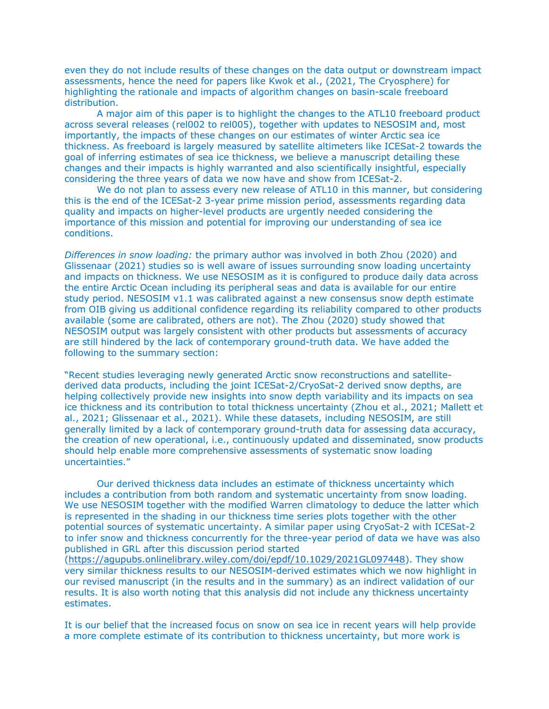even they do not include results of these changes on the data output or downstream impact assessments, hence the need for papers like Kwok et al., (2021, The Cryosphere) for highlighting the rationale and impacts of algorithm changes on basin-scale freeboard distribution.

A major aim of this paper is to highlight the changes to the ATL10 freeboard product across several releases (rel002 to rel005), together with updates to NESOSIM and, most importantly, the impacts of these changes on our estimates of winter Arctic sea ice thickness. As freeboard is largely measured by satellite altimeters like ICESat-2 towards the goal of inferring estimates of sea ice thickness, we believe a manuscript detailing these changes and their impacts is highly warranted and also scientifically insightful, especially considering the three years of data we now have and show from ICESat-2.

We do not plan to assess every new release of ATL10 in this manner, but considering this is the end of the ICESat-2 3-year prime mission period, assessments regarding data quality and impacts on higher-level products are urgently needed considering the importance of this mission and potential for improving our understanding of sea ice conditions.

*Differences in snow loading:* the primary author was involved in both Zhou (2020) and Glissenaar (2021) studies so is well aware of issues surrounding snow loading uncertainty and impacts on thickness. We use NESOSIM as it is configured to produce daily data across the entire Arctic Ocean including its peripheral seas and data is available for our entire study period. NESOSIM v1.1 was calibrated against a new consensus snow depth estimate from OIB giving us additional confidence regarding its reliability compared to other products available (some are calibrated, others are not). The Zhou (2020) study showed that NESOSIM output was largely consistent with other products but assessments of accuracy are still hindered by the lack of contemporary ground-truth data. We have added the following to the summary section:

"Recent studies leveraging newly generated Arctic snow reconstructions and satellitederived data products, including the joint ICESat-2/CryoSat-2 derived snow depths, are helping collectively provide new insights into snow depth variability and its impacts on sea ice thickness and its contribution to total thickness uncertainty (Zhou et al., 2021; Mallett et al., 2021; Glissenaar et al., 2021). While these datasets, including NESOSIM, are still generally limited by a lack of contemporary ground-truth data for assessing data accuracy, the creation of new operational, i.e., continuously updated and disseminated, snow products should help enable more comprehensive assessments of systematic snow loading uncertainties."

Our derived thickness data includes an estimate of thickness uncertainty which includes a contribution from both random and systematic uncertainty from snow loading. We use NESOSIM together with the modified Warren climatology to deduce the latter which is represented in the shading in our thickness time series plots together with the other potential sources of systematic uncertainty. A similar paper using CryoSat-2 with ICESat-2 to infer snow and thickness concurrently for the three-year period of data we have was also published in GRL after this discussion period started

(https://agupubs.onlinelibrary.wiley.com/doi/epdf/10.1029/2021GL097448). They show very similar thickness results to our NESOSIM-derived estimates which we now highlight in our revised manuscript (in the results and in the summary) as an indirect validation of our results. It is also worth noting that this analysis did not include any thickness uncertainty estimates.

It is our belief that the increased focus on snow on sea ice in recent years will help provide a more complete estimate of its contribution to thickness uncertainty, but more work is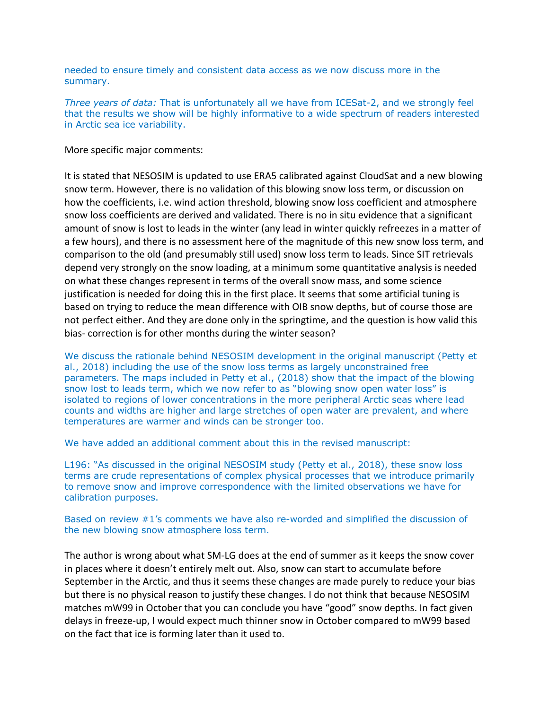needed to ensure timely and consistent data access as we now discuss more in the summary.

*Three years of data:* That is unfortunately all we have from ICESat-2, and we strongly feel that the results we show will be highly informative to a wide spectrum of readers interested in Arctic sea ice variability.

More specific major comments:

It is stated that NESOSIM is updated to use ERA5 calibrated against CloudSat and a new blowing snow term. However, there is no validation of this blowing snow loss term, or discussion on how the coefficients, i.e. wind action threshold, blowing snow loss coefficient and atmosphere snow loss coefficients are derived and validated. There is no in situ evidence that a significant amount of snow is lost to leads in the winter (any lead in winter quickly refreezes in a matter of a few hours), and there is no assessment here of the magnitude of this new snow loss term, and comparison to the old (and presumably still used) snow loss term to leads. Since SIT retrievals depend very strongly on the snow loading, at a minimum some quantitative analysis is needed on what these changes represent in terms of the overall snow mass, and some science justification is needed for doing this in the first place. It seems that some artificial tuning is based on trying to reduce the mean difference with OIB snow depths, but of course those are not perfect either. And they are done only in the springtime, and the question is how valid this bias- correction is for other months during the winter season?

We discuss the rationale behind NESOSIM development in the original manuscript (Petty et al., 2018) including the use of the snow loss terms as largely unconstrained free parameters. The maps included in Petty et al., (2018) show that the impact of the blowing snow lost to leads term, which we now refer to as "blowing snow open water loss" is isolated to regions of lower concentrations in the more peripheral Arctic seas where lead counts and widths are higher and large stretches of open water are prevalent, and where temperatures are warmer and winds can be stronger too.

We have added an additional comment about this in the revised manuscript:

L196: "As discussed in the original NESOSIM study (Petty et al., 2018), these snow loss terms are crude representations of complex physical processes that we introduce primarily to remove snow and improve correspondence with the limited observations we have for calibration purposes.

Based on review #1's comments we have also re-worded and simplified the discussion of the new blowing snow atmosphere loss term.

The author is wrong about what SM-LG does at the end of summer as it keeps the snow cover in places where it doesn't entirely melt out. Also, snow can start to accumulate before September in the Arctic, and thus it seems these changes are made purely to reduce your bias but there is no physical reason to justify these changes. I do not think that because NESOSIM matches mW99 in October that you can conclude you have "good" snow depths. In fact given delays in freeze-up, I would expect much thinner snow in October compared to mW99 based on the fact that ice is forming later than it used to.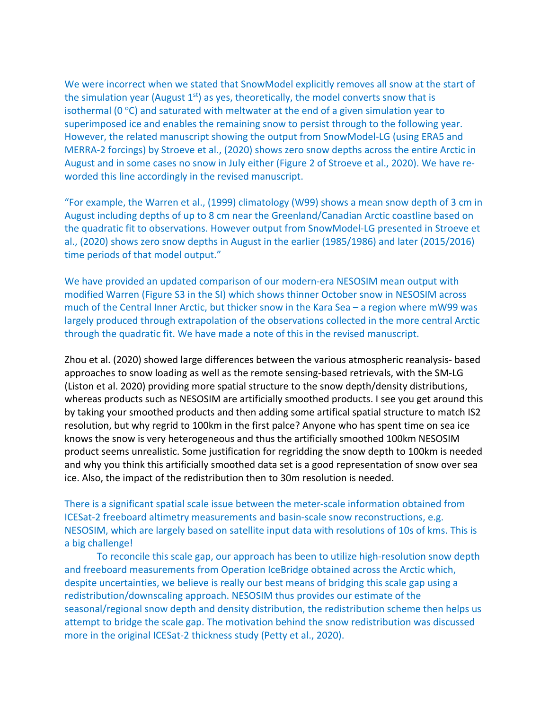We were incorrect when we stated that SnowModel explicitly removes all snow at the start of the simulation year (August  $1<sup>st</sup>$ ) as yes, theoretically, the model converts snow that is isothermal ( $0^{\circ}$ C) and saturated with meltwater at the end of a given simulation year to superimposed ice and enables the remaining snow to persist through to the following year. However, the related manuscript showing the output from SnowModel-LG (using ERA5 and MERRA-2 forcings) by Stroeve et al., (2020) shows zero snow depths across the entire Arctic in August and in some cases no snow in July either (Figure 2 of Stroeve et al., 2020). We have reworded this line accordingly in the revised manuscript.

"For example, the Warren et al., (1999) climatology (W99) shows a mean snow depth of 3 cm in August including depths of up to 8 cm near the Greenland/Canadian Arctic coastline based on the quadratic fit to observations. However output from SnowModel-LG presented in Stroeve et al., (2020) shows zero snow depths in August in the earlier (1985/1986) and later (2015/2016) time periods of that model output."

We have provided an updated comparison of our modern-era NESOSIM mean output with modified Warren (Figure S3 in the SI) which shows thinner October snow in NESOSIM across much of the Central Inner Arctic, but thicker snow in the Kara Sea – a region where mW99 was largely produced through extrapolation of the observations collected in the more central Arctic through the quadratic fit. We have made a note of this in the revised manuscript.

Zhou et al. (2020) showed large differences between the various atmospheric reanalysis- based approaches to snow loading as well as the remote sensing-based retrievals, with the SM-LG (Liston et al. 2020) providing more spatial structure to the snow depth/density distributions, whereas products such as NESOSIM are artificially smoothed products. I see you get around this by taking your smoothed products and then adding some artifical spatial structure to match IS2 resolution, but why regrid to 100km in the first palce? Anyone who has spent time on sea ice knows the snow is very heterogeneous and thus the artificially smoothed 100km NESOSIM product seems unrealistic. Some justification for regridding the snow depth to 100km is needed and why you think this artificially smoothed data set is a good representation of snow over sea ice. Also, the impact of the redistribution then to 30m resolution is needed.

There is a significant spatial scale issue between the meter-scale information obtained from ICESat-2 freeboard altimetry measurements and basin-scale snow reconstructions, e.g. NESOSIM, which are largely based on satellite input data with resolutions of 10s of kms. This is a big challenge!

To reconcile this scale gap, our approach has been to utilize high-resolution snow depth and freeboard measurements from Operation IceBridge obtained across the Arctic which, despite uncertainties, we believe is really our best means of bridging this scale gap using a redistribution/downscaling approach. NESOSIM thus provides our estimate of the seasonal/regional snow depth and density distribution, the redistribution scheme then helps us attempt to bridge the scale gap. The motivation behind the snow redistribution was discussed more in the original ICESat-2 thickness study (Petty et al., 2020).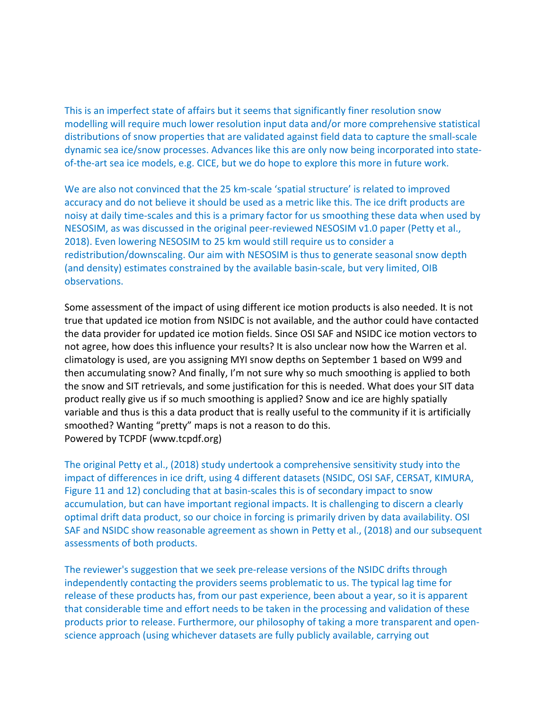This is an imperfect state of affairs but it seems that significantly finer resolution snow modelling will require much lower resolution input data and/or more comprehensive statistical distributions of snow properties that are validated against field data to capture the small-scale dynamic sea ice/snow processes. Advances like this are only now being incorporated into stateof-the-art sea ice models, e.g. CICE, but we do hope to explore this more in future work.

We are also not convinced that the 25 km-scale 'spatial structure' is related to improved accuracy and do not believe it should be used as a metric like this. The ice drift products are noisy at daily time-scales and this is a primary factor for us smoothing these data when used by NESOSIM, as was discussed in the original peer-reviewed NESOSIM v1.0 paper (Petty et al., 2018). Even lowering NESOSIM to 25 km would still require us to consider a redistribution/downscaling. Our aim with NESOSIM is thus to generate seasonal snow depth (and density) estimates constrained by the available basin-scale, but very limited, OIB observations.

Some assessment of the impact of using different ice motion products is also needed. It is not true that updated ice motion from NSIDC is not available, and the author could have contacted the data provider for updated ice motion fields. Since OSI SAF and NSIDC ice motion vectors to not agree, how does this influence your results? It is also unclear now how the Warren et al. climatology is used, are you assigning MYI snow depths on September 1 based on W99 and then accumulating snow? And finally, I'm not sure why so much smoothing is applied to both the snow and SIT retrievals, and some justification for this is needed. What does your SIT data product really give us if so much smoothing is applied? Snow and ice are highly spatially variable and thus is this a data product that is really useful to the community if it is artificially smoothed? Wanting "pretty" maps is not a reason to do this. Powered by TCPDF (www.tcpdf.org)

The original Petty et al., (2018) study undertook a comprehensive sensitivity study into the impact of differences in ice drift, using 4 different datasets (NSIDC, OSI SAF, CERSAT, KIMURA, Figure 11 and 12) concluding that at basin-scales this is of secondary impact to snow accumulation, but can have important regional impacts. It is challenging to discern a clearly optimal drift data product, so our choice in forcing is primarily driven by data availability. OSI SAF and NSIDC show reasonable agreement as shown in Petty et al., (2018) and our subsequent assessments of both products.

The reviewer's suggestion that we seek pre-release versions of the NSIDC drifts through independently contacting the providers seems problematic to us. The typical lag time for release of these products has, from our past experience, been about a year, so it is apparent that considerable time and effort needs to be taken in the processing and validation of these products prior to release. Furthermore, our philosophy of taking a more transparent and openscience approach (using whichever datasets are fully publicly available, carrying out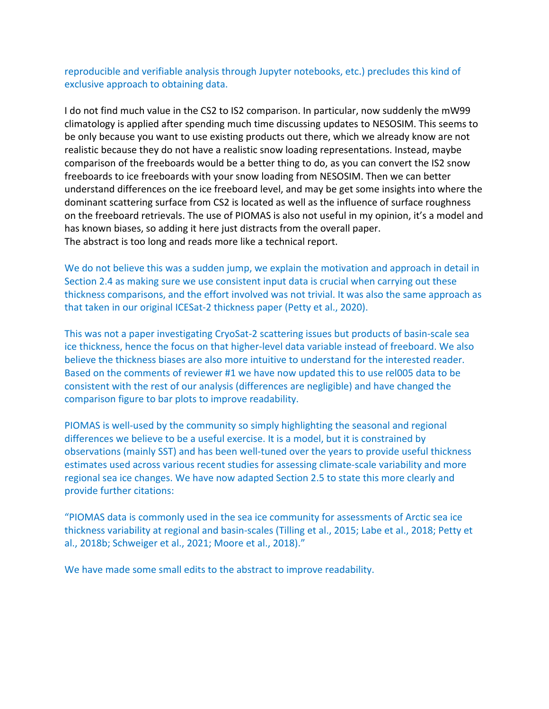reproducible and verifiable analysis through Jupyter notebooks, etc.) precludes this kind of exclusive approach to obtaining data.

I do not find much value in the CS2 to IS2 comparison. In particular, now suddenly the mW99 climatology is applied after spending much time discussing updates to NESOSIM. This seems to be only because you want to use existing products out there, which we already know are not realistic because they do not have a realistic snow loading representations. Instead, maybe comparison of the freeboards would be a better thing to do, as you can convert the IS2 snow freeboards to ice freeboards with your snow loading from NESOSIM. Then we can better understand differences on the ice freeboard level, and may be get some insights into where the dominant scattering surface from CS2 is located as well as the influence of surface roughness on the freeboard retrievals. The use of PIOMAS is also not useful in my opinion, it's a model and has known biases, so adding it here just distracts from the overall paper. The abstract is too long and reads more like a technical report.

We do not believe this was a sudden jump, we explain the motivation and approach in detail in Section 2.4 as making sure we use consistent input data is crucial when carrying out these thickness comparisons, and the effort involved was not trivial. It was also the same approach as that taken in our original ICESat-2 thickness paper (Petty et al., 2020).

This was not a paper investigating CryoSat-2 scattering issues but products of basin-scale sea ice thickness, hence the focus on that higher-level data variable instead of freeboard. We also believe the thickness biases are also more intuitive to understand for the interested reader. Based on the comments of reviewer #1 we have now updated this to use rel005 data to be consistent with the rest of our analysis (differences are negligible) and have changed the comparison figure to bar plots to improve readability.

PIOMAS is well-used by the community so simply highlighting the seasonal and regional differences we believe to be a useful exercise. It is a model, but it is constrained by observations (mainly SST) and has been well-tuned over the years to provide useful thickness estimates used across various recent studies for assessing climate-scale variability and more regional sea ice changes. We have now adapted Section 2.5 to state this more clearly and provide further citations:

"PIOMAS data is commonly used in the sea ice community for assessments of Arctic sea ice thickness variability at regional and basin-scales (Tilling et al., 2015; Labe et al., 2018; Petty et al., 2018b; Schweiger et al., 2021; Moore et al., 2018)."

We have made some small edits to the abstract to improve readability.